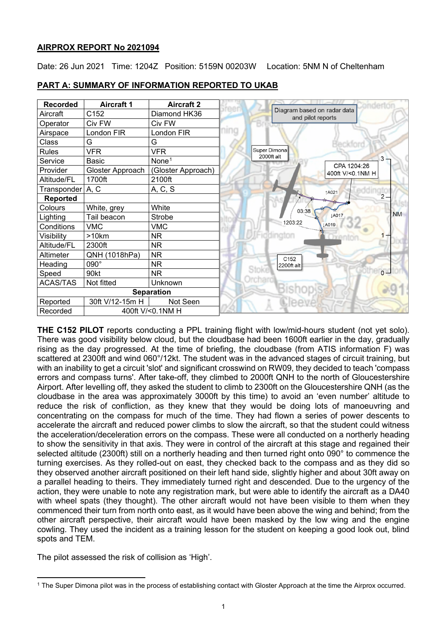## **AIRPROX REPORT No 2021094**

Date: 26 Jun 2021 Time: 1204Z Position: 5159N 00203W Location: 5NM N of Cheltenham

| <b>Recorded</b>              | <b>Aircraft 1</b> | <b>Aircraft 2</b>  |  |
|------------------------------|-------------------|--------------------|--|
| Aircraft                     | C152              | Diamond HK36       |  |
| Operator                     | Civ FW            | Civ FW             |  |
| Airspace                     | London FIR        | London FIR         |  |
| Class                        | G                 | G                  |  |
| Rules                        | <b>VFR</b>        | <b>VFR</b>         |  |
| Service                      | <b>Basic</b>      | None <sup>1</sup>  |  |
| Provider                     | Gloster Approach  | (Gloster Approach) |  |
| Altitude/FL                  | 1700ft            | 2100ft             |  |
| Transponder   A, C           |                   | A, C, S            |  |
| <b>Reported</b>              |                   |                    |  |
| Colours                      | White, grey       | White              |  |
| Lighting                     | Tail beacon       | Strobe             |  |
| Conditions                   | <b>VMC</b>        | <b>VMC</b>         |  |
| Visibility                   | >10km             | <b>NR</b>          |  |
| Altitude/FL                  | 2300ft            | <b>NR</b>          |  |
| Altimeter                    | QNH (1018hPa)     | <b>NR</b>          |  |
| Heading                      | 090°              | NR.                |  |
| Speed                        | 90kt              | <b>NR</b>          |  |
| <b>ACAS/TAS</b>              | Not fitted        | Unknown            |  |
| <b>Separation</b>            |                   |                    |  |
| Reported                     | 30ft V/12-15m H   | Not Seen           |  |
| 400ft V/<0.1NM H<br>Recorded |                   |                    |  |

**PART A: SUMMARY OF INFORMATION REPORTED TO UKAB**

**THE C152 PILOT** reports conducting a PPL training flight with low/mid-hours student (not yet solo). There was good visibility below cloud, but the cloudbase had been 1600ft earlier in the day, gradually rising as the day progressed. At the time of briefing, the cloudbase (from ATIS information F) was scattered at 2300ft and wind 060°/12kt. The student was in the advanced stages of circuit training, but with an inability to get a circuit 'slot' and significant crosswind on RW09, they decided to teach 'compass errors and compass turns'. After take-off, they climbed to 2000ft QNH to the north of Gloucestershire Airport. After levelling off, they asked the student to climb to 2300ft on the Gloucestershire QNH (as the cloudbase in the area was approximately 3000ft by this time) to avoid an 'even number' altitude to reduce the risk of confliction, as they knew that they would be doing lots of manoeuvring and concentrating on the compass for much of the time. They had flown a series of power descents to accelerate the aircraft and reduced power climbs to slow the aircraft, so that the student could witness the acceleration/deceleration errors on the compass. These were all conducted on a northerly heading to show the sensitivity in that axis. They were in control of the aircraft at this stage and regained their selected altitude (2300ft) still on a northerly heading and then turned right onto 090° to commence the turning exercises. As they rolled-out on east, they checked back to the compass and as they did so they observed another aircraft positioned on their left hand side, slightly higher and about 30ft away on a parallel heading to theirs. They immediately turned right and descended. Due to the urgency of the action, they were unable to note any registration mark, but were able to identify the aircraft as a DA40 with wheel spats (they thought). The other aircraft would not have been visible to them when they commenced their turn from north onto east, as it would have been above the wing and behind; from the other aircraft perspective, their aircraft would have been masked by the low wing and the engine cowling. They used the incident as a training lesson for the student on keeping a good look out, blind spots and TEM.

The pilot assessed the risk of collision as 'High'.

<span id="page-0-0"></span><sup>1</sup> The Super Dimona pilot was in the process of establishing contact with Gloster Approach at the time the Airprox occurred.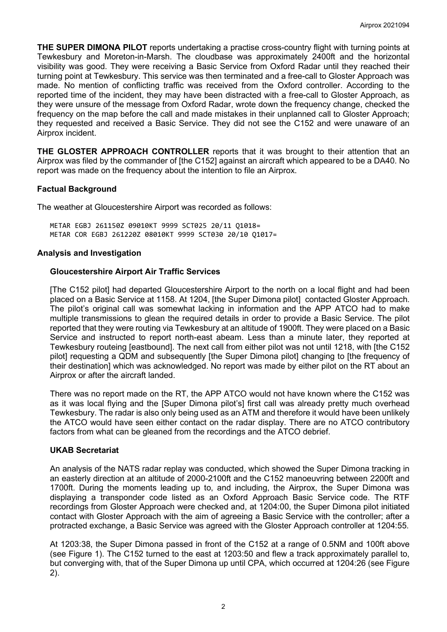**THE SUPER DIMONA PILOT** reports undertaking a practise cross-country flight with turning points at Tewkesbury and Moreton-in-Marsh. The cloudbase was approximately 2400ft and the horizontal visibility was good. They were receiving a Basic Service from Oxford Radar until they reached their turning point at Tewkesbury. This service was then terminated and a free-call to Gloster Approach was made. No mention of conflicting traffic was received from the Oxford controller. According to the reported time of the incident, they may have been distracted with a free-call to Gloster Approach, as they were unsure of the message from Oxford Radar, wrote down the frequency change, checked the frequency on the map before the call and made mistakes in their unplanned call to Gloster Approach; they requested and received a Basic Service. They did not see the C152 and were unaware of an Airprox incident.

**THE GLOSTER APPROACH CONTROLLER** reports that it was brought to their attention that an Airprox was filed by the commander of [the C152] against an aircraft which appeared to be a DA40. No report was made on the frequency about the intention to file an Airprox.

## **Factual Background**

The weather at Gloucestershire Airport was recorded as follows:

METAR EGBJ 261150Z 09010KT 9999 SCT025 20/11 Q1018= METAR COR EGBJ 261220Z 08010KT 9999 SCT030 20/10 Q1017=

### **Analysis and Investigation**

### **Gloucestershire Airport Air Traffic Services**

[The C152 pilot] had departed Gloucestershire Airport to the north on a local flight and had been placed on a Basic Service at 1158. At 1204, [the Super Dimona pilot] contacted Gloster Approach. The pilot's original call was somewhat lacking in information and the APP ATCO had to make multiple transmissions to glean the required details in order to provide a Basic Service. The pilot reported that they were routing via Tewkesbury at an altitude of 1900ft. They were placed on a Basic Service and instructed to report north-east abeam. Less than a minute later, they reported at Tewkesbury routeing [eastbound]. The next call from either pilot was not until 1218, with [the C152 pilot] requesting a QDM and subsequently [the Super Dimona pilot] changing to [the frequency of their destination] which was acknowledged. No report was made by either pilot on the RT about an Airprox or after the aircraft landed.

There was no report made on the RT, the APP ATCO would not have known where the C152 was as it was local flying and the [Super Dimona pilot's] first call was already pretty much overhead Tewkesbury. The radar is also only being used as an ATM and therefore it would have been unlikely the ATCO would have seen either contact on the radar display. There are no ATCO contributory factors from what can be gleaned from the recordings and the ATCO debrief.

#### **UKAB Secretariat**

An analysis of the NATS radar replay was conducted, which showed the Super Dimona tracking in an easterly direction at an altitude of 2000-2100ft and the C152 manoeuvring between 2200ft and 1700ft. During the moments leading up to, and including, the Airprox, the Super Dimona was displaying a transponder code listed as an Oxford Approach Basic Service code. The RTF recordings from Gloster Approach were checked and, at 1204:00, the Super Dimona pilot initiated contact with Gloster Approach with the aim of agreeing a Basic Service with the controller; after a protracted exchange, a Basic Service was agreed with the Gloster Approach controller at 1204:55.

At 1203:38, the Super Dimona passed in front of the C152 at a range of 0.5NM and 100ft above (see Figure 1). The C152 turned to the east at 1203:50 and flew a track approximately parallel to, but converging with, that of the Super Dimona up until CPA, which occurred at 1204:26 (see Figure 2).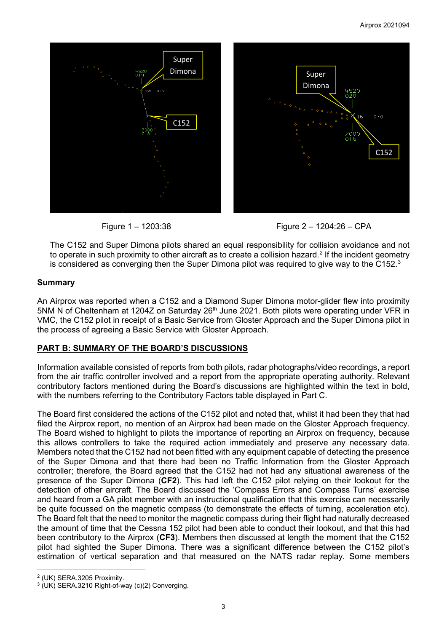



Figure 1 – 1203:38 Figure 2 – 1204:26 – CPA

The C152 and Super Dimona pilots shared an equal responsibility for collision avoidance and not to operate in such proximity to other aircraft as to create a collision hazard. [2](#page-2-0) If the incident geometry is considered as converging then the Super Dimona pilot was required to give way to the C152. $^{\rm 3}$  $^{\rm 3}$  $^{\rm 3}$ 

# **Summary**

An Airprox was reported when a C152 and a Diamond Super Dimona motor-glider flew into proximity 5NM N of Cheltenham at 1204Z on Saturday 26<sup>th</sup> June 2021. Both pilots were operating under VFR in VMC, the C152 pilot in receipt of a Basic Service from Gloster Approach and the Super Dimona pilot in the process of agreeing a Basic Service with Gloster Approach.

# **PART B: SUMMARY OF THE BOARD'S DISCUSSIONS**

Information available consisted of reports from both pilots, radar photographs/video recordings, a report from the air traffic controller involved and a report from the appropriate operating authority. Relevant contributory factors mentioned during the Board's discussions are highlighted within the text in bold, with the numbers referring to the Contributory Factors table displayed in Part C.

The Board first considered the actions of the C152 pilot and noted that, whilst it had been they that had filed the Airprox report, no mention of an Airprox had been made on the Gloster Approach frequency. The Board wished to highlight to pilots the importance of reporting an Airprox on frequency, because this allows controllers to take the required action immediately and preserve any necessary data. Members noted that the C152 had not been fitted with any equipment capable of detecting the presence of the Super Dimona and that there had been no Traffic Information from the Gloster Approach controller; therefore, the Board agreed that the C152 had not had any situational awareness of the presence of the Super Dimona (**CF2**). This had left the C152 pilot relying on their lookout for the detection of other aircraft. The Board discussed the 'Compass Errors and Compass Turns' exercise and heard from a GA pilot member with an instructional qualification that this exercise can necessarily be quite focussed on the magnetic compass (to demonstrate the effects of turning, acceleration etc). The Board felt that the need to monitor the magnetic compass during their flight had naturally decreased the amount of time that the Cessna 152 pilot had been able to conduct their lookout, and that this had been contributory to the Airprox (**CF3**). Members then discussed at length the moment that the C152 pilot had sighted the Super Dimona. There was a significant difference between the C152 pilot's estimation of vertical separation and that measured on the NATS radar replay. Some members

<span id="page-2-0"></span><sup>2</sup> (UK) SERA.3205 Proximity.

<span id="page-2-1"></span><sup>3</sup> (UK) SERA.3210 Right-of-way (c)(2) Converging.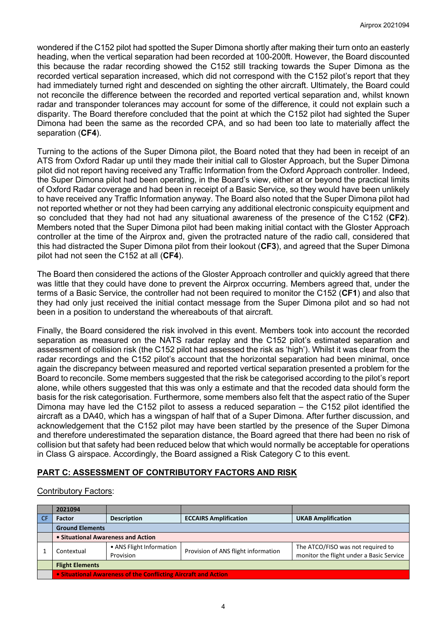wondered if the C152 pilot had spotted the Super Dimona shortly after making their turn onto an easterly heading, when the vertical separation had been recorded at 100-200ft. However, the Board discounted this because the radar recording showed the C152 still tracking towards the Super Dimona as the recorded vertical separation increased, which did not correspond with the C152 pilot's report that they had immediately turned right and descended on sighting the other aircraft. Ultimately, the Board could not reconcile the difference between the recorded and reported vertical separation and, whilst known radar and transponder tolerances may account for some of the difference, it could not explain such a disparity. The Board therefore concluded that the point at which the C152 pilot had sighted the Super Dimona had been the same as the recorded CPA, and so had been too late to materially affect the separation (**CF4**).

Turning to the actions of the Super Dimona pilot, the Board noted that they had been in receipt of an ATS from Oxford Radar up until they made their initial call to Gloster Approach, but the Super Dimona pilot did not report having received any Traffic Information from the Oxford Approach controller. Indeed, the Super Dimona pilot had been operating, in the Board's view, either at or beyond the practical limits of Oxford Radar coverage and had been in receipt of a Basic Service, so they would have been unlikely to have received any Traffic Information anyway. The Board also noted that the Super Dimona pilot had not reported whether or not they had been carrying any additional electronic conspicuity equipment and so concluded that they had not had any situational awareness of the presence of the C152 (**CF2**). Members noted that the Super Dimona pilot had been making initial contact with the Gloster Approach controller at the time of the Airprox and, given the protracted nature of the radio call, considered that this had distracted the Super Dimona pilot from their lookout (**CF3**), and agreed that the Super Dimona pilot had not seen the C152 at all (**CF4**).

The Board then considered the actions of the Gloster Approach controller and quickly agreed that there was little that they could have done to prevent the Airprox occurring. Members agreed that, under the terms of a Basic Service, the controller had not been required to monitor the C152 (**CF1**) and also that they had only just received the initial contact message from the Super Dimona pilot and so had not been in a position to understand the whereabouts of that aircraft.

Finally, the Board considered the risk involved in this event. Members took into account the recorded separation as measured on the NATS radar replay and the C152 pilot's estimated separation and assessment of collision risk (the C152 pilot had assessed the risk as 'high'). Whilst it was clear from the radar recordings and the C152 pilot's account that the horizontal separation had been minimal, once again the discrepancy between measured and reported vertical separation presented a problem for the Board to reconcile. Some members suggested that the risk be categorised according to the pilot's report alone, while others suggested that this was only a estimate and that the recoded data should form the basis for the risk categorisation. Furthermore, some members also felt that the aspect ratio of the Super Dimona may have led the C152 pilot to assess a reduced separation – the C152 pilot identified the aircraft as a DA40, which has a wingspan of half that of a Super Dimona. After further discussion, and acknowledgement that the C152 pilot may have been startled by the presence of the Super Dimona and therefore underestimated the separation distance, the Board agreed that there had been no risk of collision but that safety had been reduced below that which would normally be acceptable for operations in Class G airspace. Accordingly, the Board assigned a Risk Category C to this event.

# **PART C: ASSESSMENT OF CONTRIBUTORY FACTORS AND RISK**

## Contributory Factors:

| 2021094                                                        |                                       |                                     |                                                                               |  |  |  |
|----------------------------------------------------------------|---------------------------------------|-------------------------------------|-------------------------------------------------------------------------------|--|--|--|
| <b>Factor</b>                                                  | <b>Description</b>                    | <b>ECCAIRS Amplification</b>        | <b>UKAB Amplification</b>                                                     |  |  |  |
| <b>Ground Elements</b>                                         |                                       |                                     |                                                                               |  |  |  |
| • Situational Awareness and Action                             |                                       |                                     |                                                                               |  |  |  |
| Contextual                                                     | • ANS Flight Information<br>Provision | Provision of ANS flight information | The ATCO/FISO was not required to<br>monitor the flight under a Basic Service |  |  |  |
| <b>Flight Elements</b>                                         |                                       |                                     |                                                                               |  |  |  |
| • Situational Awareness of the Conflicting Aircraft and Action |                                       |                                     |                                                                               |  |  |  |